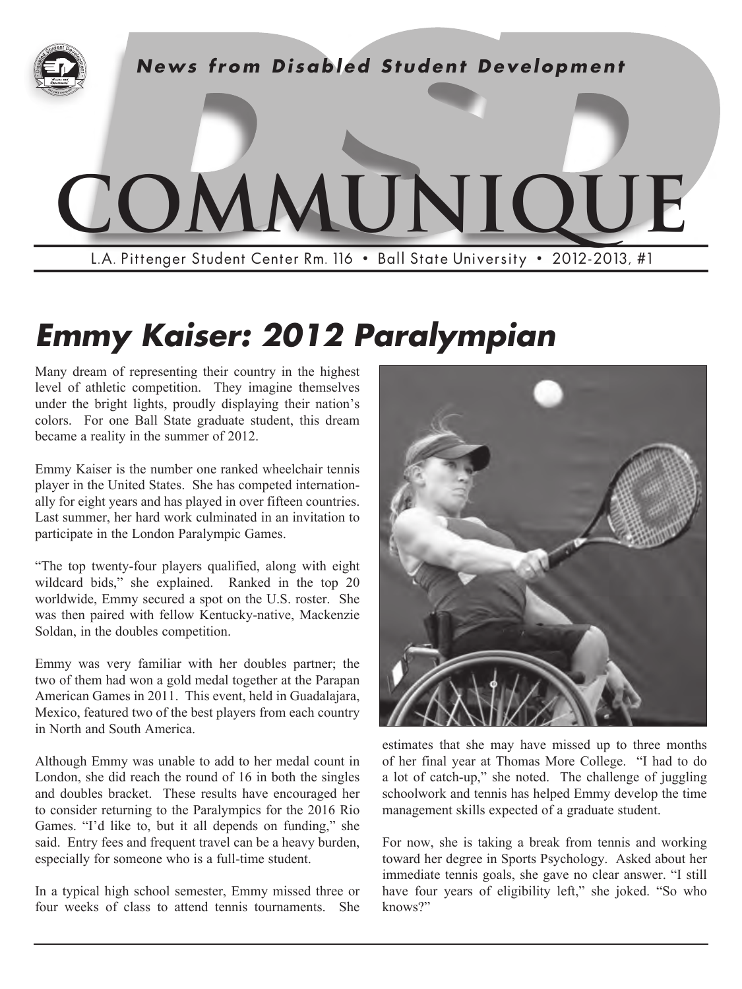

# *Emmy Kaiser: 2012 Paralympian*

Many dream of representing their country in the highest level of athletic competition. They imagine themselves under the bright lights, proudly displaying their nation's colors. For one Ball State graduate student, this dream became a reality in the summer of 2012.

Emmy Kaiser is the number one ranked wheelchair tennis player in the United States. She has competed internationally for eight years and has played in over fifteen countries. Last summer, her hard work culminated in an invitation to participate in the London Paralympic Games.

"The top twenty-four players qualified, along with eight wildcard bids," she explained. Ranked in the top 20 worldwide, Emmy secured a spot on the U.S. roster. She was then paired with fellow Kentucky-native, Mackenzie Soldan, in the doubles competition.

in North and South America. Emmy was very familiar with her doubles partner; the two of them had won a gold medal together at the Parapan American Games in 2011. This event, held in Guadalajara, Mexico, featured two of the best players from each country

Although Emmy was unable to add to her medal count in London, she did reach the round of 16 in both the singles and doubles bracket. These results have encouraged her to consider returning to the Paralympics for the 2016 Rio Games. "I'd like to, but it all depends on funding," she said. Entry fees and frequent travel can be a heavy burden, especially for someone who is a full-time student.

In a typical high school semester, Emmy missed three or four weeks of class to attend tennis tournaments. She



estimates that she may have missed up to three months of her final year at Thomas More College. "I had to do a lot of catch-up," she noted. The challenge of juggling schoolwork and tennis has helped Emmy develop the time management skills expected of a graduate student.

For now, she is taking a break from tennis and working toward her degree in Sports Psychology. Asked about her immediate tennis goals, she gave no clear answer. "I still have four years of eligibility left," she joked. "So who knows?"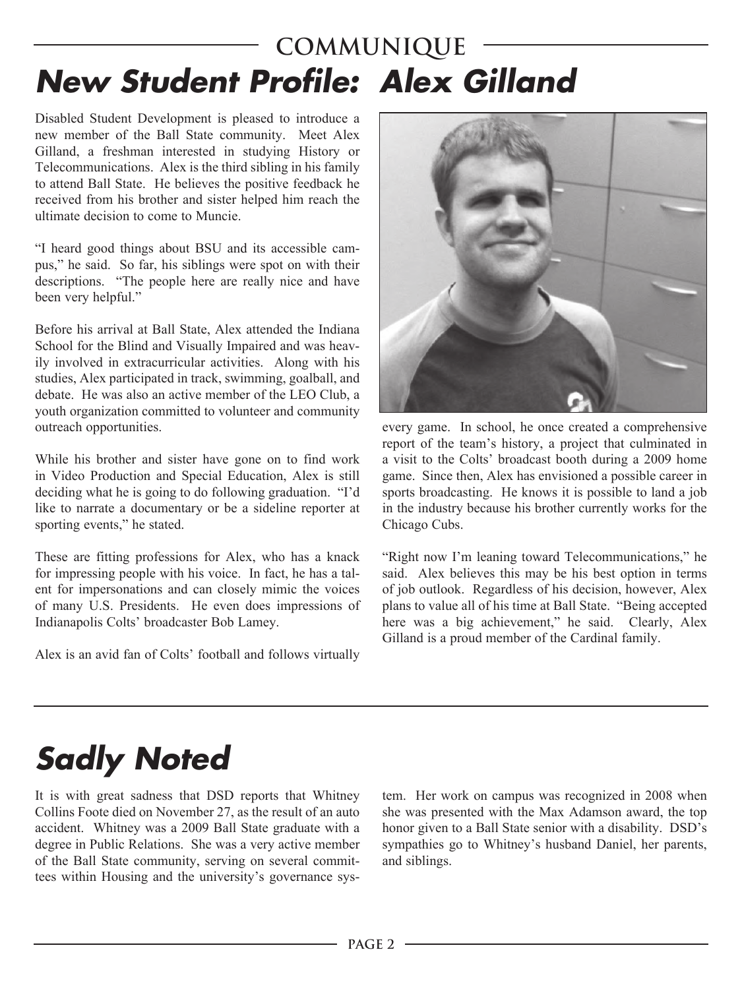### **COMMUNIQUE** *New Student Profile: Alex Gilland*

Disabled Student Development is pleased to introduce a new member of the Ball State community. Meet Alex Gilland, a freshman interested in studying History or Telecommunications. Alex is the third sibling in his family to attend Ball State. He believes the positive feedback he received from his brother and sister helped him reach the ultimate decision to come to Muncie.

"I heard good things about BSU and its accessible campus," he said. So far, his siblings were spot on with their descriptions. "The people here are really nice and have been very helpful."

Before his arrival at Ball State, Alex attended the Indiana School for the Blind and Visually Impaired and was heavily involved in extracurricular activities. Along with his studies, Alex participated in track, swimming, goalball, and debate. He was also an active member of the LEO Club, a youth organization committed to volunteer and community outreach opportunities.

While his brother and sister have gone on to find work in Video Production and Special Education, Alex is still deciding what he is going to do following graduation. "I'd like to narrate a documentary or be a sideline reporter at sporting events," he stated.

These are fitting professions for Alex, who has a knack for impressing people with his voice. In fact, he has a talent for impersonations and can closely mimic the voices of many U.S. Presidents. He even does impressions of Indianapolis Colts' broadcaster Bob Lamey.

Alex is an avid fan of Colts' football and follows virtually



every game. In school, he once created a comprehensive report of the team's history, a project that culminated in a visit to the Colts' broadcast booth during a 2009 home game. Since then, Alex has envisioned a possible career in sports broadcasting. He knows it is possible to land a job in the industry because his brother currently works for the Chicago Cubs.

"Right now I'm leaning toward Telecommunications," he said. Alex believes this may be his best option in terms of job outlook. Regardless of his decision, however, Alex plans to value all of his time at Ball State. "Being accepted here was a big achievement," he said. Clearly, Alex Gilland is a proud member of the Cardinal family.

# *Sadly Noted*

It is with great sadness that DSD reports that Whitney Collins Foote died on November 27, as the result of an auto accident. Whitney was a 2009 Ball State graduate with a degree in Public Relations. She was a very active member of the Ball State community, serving on several committees within Housing and the university's governance sys-

tem. Her work on campus was recognized in 2008 when she was presented with the Max Adamson award, the top honor given to a Ball State senior with a disability. DSD's sympathies go to Whitney's husband Daniel, her parents, and siblings.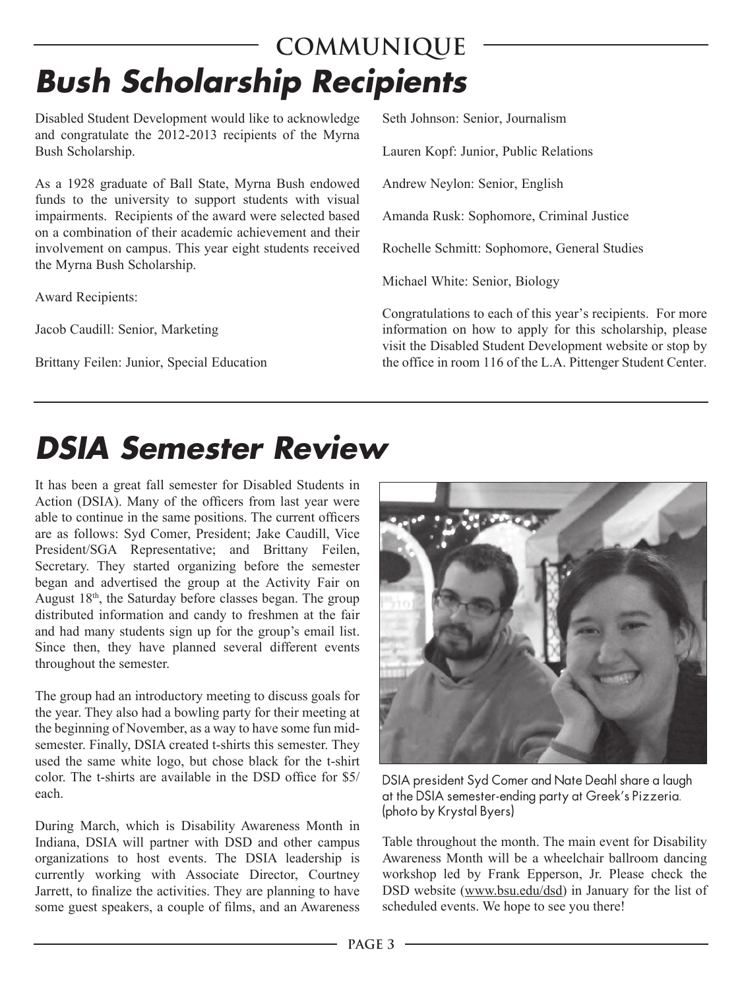### **COMMUNIQUE** *Bush Scholarship Recipients*

Disabled Student Development would like to acknowledge and congratulate the 2012-2013 recipients of the Myrna Bush Scholarship.

As a 1928 graduate of Ball State, Myrna Bush endowed funds to the university to support students with visual impairments. Recipients of the award were selected based on a combination of their academic achievement and their involvement on campus. This year eight students received the Myrna Bush Scholarship.

Award Recipients:

Jacob Caudill: Senior, Marketing

Brittany Feilen: Junior, Special Education

Seth Johnson: Senior, Journalism

Lauren Kopf: Junior, Public Relations

Andrew Neylon: Senior, English

Amanda Rusk: Sophomore, Criminal Justice

Rochelle Schmitt: Sophomore, General Studies

Michael White: Senior, Biology

Congratulations to each of this year's recipients. For more information on how to apply for this scholarship, please visit the Disabled Student Development website or stop by the office in room 116 of the L.A. Pittenger Student Center.

## *DSIA Semester Review*

It has been a great fall semester for Disabled Students in Action (DSIA). Many of the officers from last year were able to continue in the same positions. The current officers are as follows: Syd Comer, President; Jake Caudill, Vice President/SGA Representative; and Brittany Feilen, Secretary. They started organizing before the semester began and advertised the group at the Activity Fair on August 18th, the Saturday before classes began. The group distributed information and candy to freshmen at the fair and had many students sign up for the group's email list. Since then, they have planned several different events throughout the semester.

each The group had an introductory meeting to discuss goals for the year. They also had a bowling party for their meeting at the beginning of November, as a way to have some fun midsemester. Finally, DSIA created t-shirts this semester. They used the same white logo, but chose black for the t-shirt color. The t-shirts are available in the DSD office for \$5/

During March, which is Disability Awareness Month in Indiana, DSIA will partner with DSD and other campus organizations to host events. The DSIA leadership is currently working with Associate Director, Courtney Jarrett, to finalize the activities. They are planning to have some guest speakers, a couple of films, and an Awareness



DSIA president Syd Comer and Nate Deahl share a laugh at the DSIA semester-ending party at Greek's Pizzeria. (photo by Krystal Byers)

Table throughout the month. The main event for Disability Awareness Month will be a wheelchair ballroom dancing workshop led by Frank Epperson, Jr. Please check the DSD website (www.bsu.edu/dsd) in January for the list of scheduled events. We hope to see you there!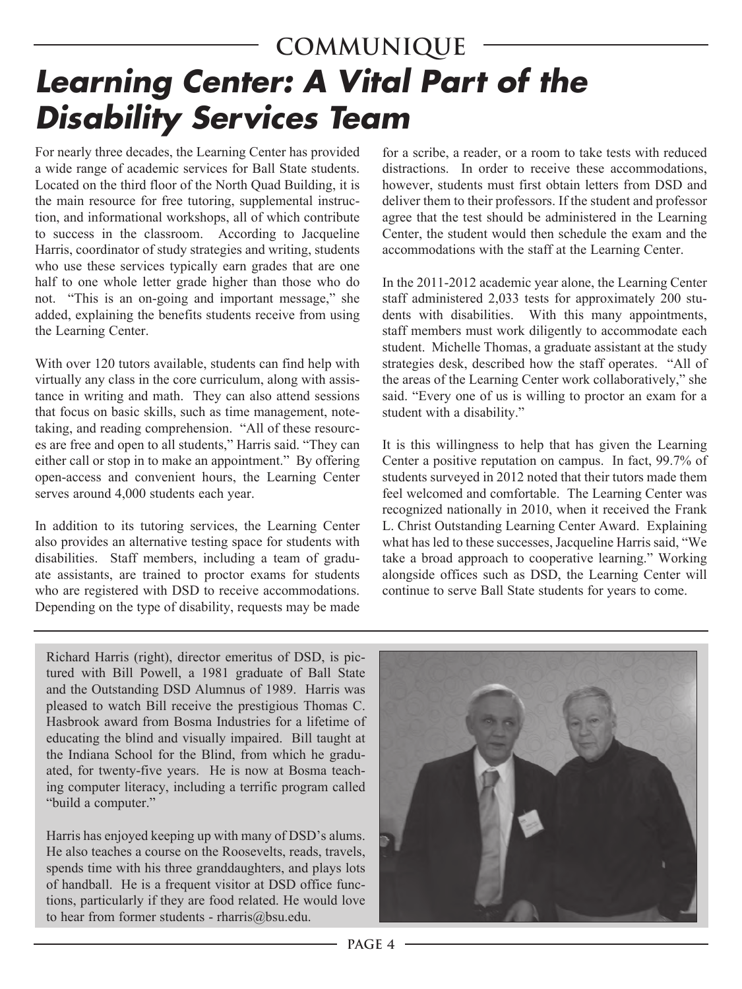### **COMMUNIQUE** *Learning Center: A Vital Part of the Disability Services Team*

For nearly three decades, the Learning Center has provided a wide range of academic services for Ball State students. Located on the third floor of the North Quad Building, it is the main resource for free tutoring, supplemental instruction, and informational workshops, all of which contribute to success in the classroom. According to Jacqueline Harris, coordinator of study strategies and writing, students who use these services typically earn grades that are one half to one whole letter grade higher than those who do not. "This is an on-going and important message," she added, explaining the benefits students receive from using the Learning Center.

With over 120 tutors available, students can find help with virtually any class in the core curriculum, along with assistance in writing and math. They can also attend sessions that focus on basic skills, such as time management, notetaking, and reading comprehension. "All of these resources are free and open to all students," Harris said. "They can either call or stop in to make an appointment." By offering open-access and convenient hours, the Learning Center serves around 4,000 students each year.

In addition to its tutoring services, the Learning Center also provides an alternative testing space for students with disabilities. Staff members, including a team of graduate assistants, are trained to proctor exams for students who are registered with DSD to receive accommodations. Depending on the type of disability, requests may be made

for a scribe, a reader, or a room to take tests with reduced distractions. In order to receive these accommodations however, students must first obtain letters from DSD and deliver them to their professors. If the student and professor agree that the test should be administered in the Learning Center, the student would then schedule the exam and the accommodations with the staff at the Learning Center.

In the 2011-2012 academic year alone, the Learning Center staff administered 2,033 tests for approximately 200 students with disabilities. With this many appointments, staff members must work diligently to accommodate each student. Michelle Thomas, a graduate assistant at the study strategies desk, described how the staff operates. "All of the areas of the Learning Center work collaboratively," she said. "Every one of us is willing to proctor an exam for a student with a disability."

It is this willingness to help that has given the Learning Center a positive reputation on campus. In fact, 99.7% of students surveyed in 2012 noted that their tutors made them feel welcomed and comfortable. The Learning Center was recognized nationally in 2010, when it received the Frank L. Christ Outstanding Learning Center Award. Explaining what has led to these successes, Jacqueline Harris said, "We take a broad approach to cooperative learning." Working alongside offices such as DSD, the Learning Center will continue to serve Ball State students for years to come.

Richard Harris (right), director emeritus of DSD, is pictured with Bill Powell, a 1981 graduate of Ball State and the Outstanding DSD Alumnus of 1989. Harris was pleased to watch Bill receive the prestigious Thomas C. Hasbrook award from Bosma Industries for a lifetime of educating the blind and visually impaired. Bill taught at the Indiana School for the Blind, from which he graduated, for twenty-five years. He is now at Bosma teaching computer literacy, including a terrific program called "build a computer."

Harris has enjoyed keeping up with many of DSD's alums. He also teaches a course on the Roosevelts, reads, travels, spends time with his three granddaughters, and plays lots of handball. He is a frequent visitor at DSD office functions, particularly if they are food related. He would love to hear from former students - rharris@bsu.edu.

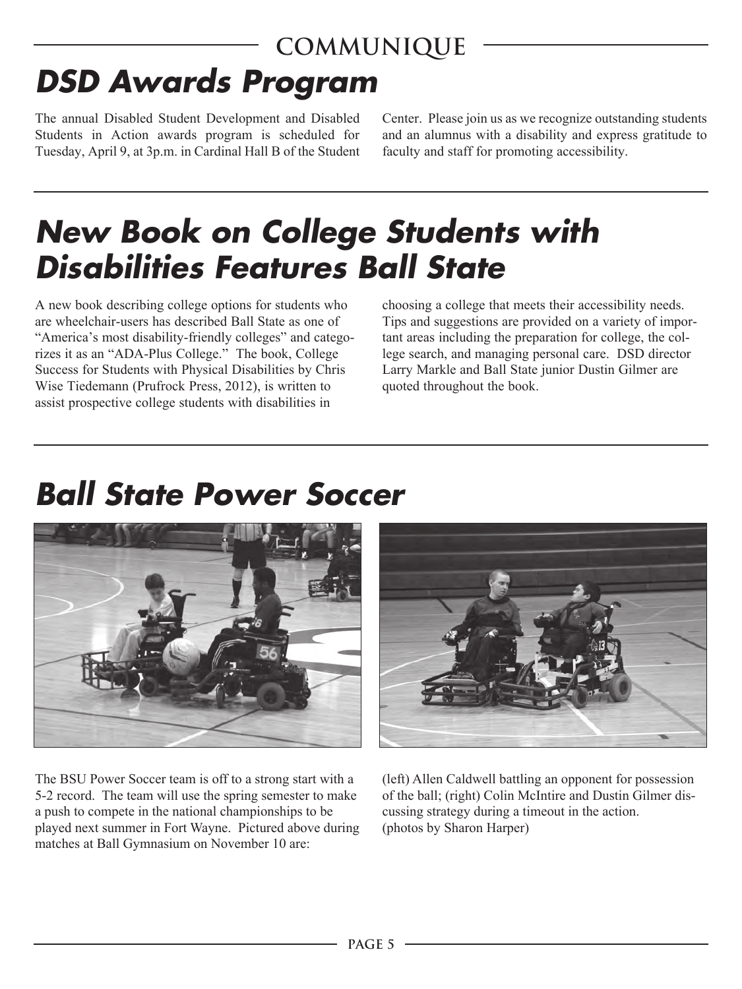#### **COMMUNIQUE** *DSD Awards Program*

The annual Disabled Student Development and Disabled Center. Please join us as we recognize outstanding students Students in Action awards program is scheduled for and an alumnus with a disability and express gratitude to Tuesday, April 9, at 3p.m. in Cardinal Hall B of the Student faculty and staff for promoting accessibility. Tuesday, April 9, at 3p.m. in Cardinal Hall B of the Student

## *New Book on College Students with Disabilities Features Ball State*

A new book describing college options for students who choosing a college that meets their accessibility needs. are wheelchair-users has described Ball State as one of Tips and suggestions are provided on a variety of impor-"America's most disability-friendly colleges" and catego- tant areas including the preparation for college, the colrizes it as an "ADA-Plus College." The book, College lege search, and managing personal care. DSD director Success for Students with Physical Disabilities by Chris Larry Markle and Ball State junior Dustin Gilmer are Wise Tiedemann (Prufrock Press, 2012), is written to quoted throughout the book. assist prospective college students with disabilities in

## *Ball State Power Soccer*



The BSU Power Soccer team is off to a strong start with a 5-2 record. The team will use the spring semester to make a push to compete in the national championships to be played next summer in Fort Wayne. Pictured above during matches at Ball Gymnasium on November 10 are:



(left) Allen Caldwell battling an opponent for possession of the ball; (right) Colin McIntire and Dustin Gilmer discussing strategy during a timeout in the action. (photos by Sharon Harper)